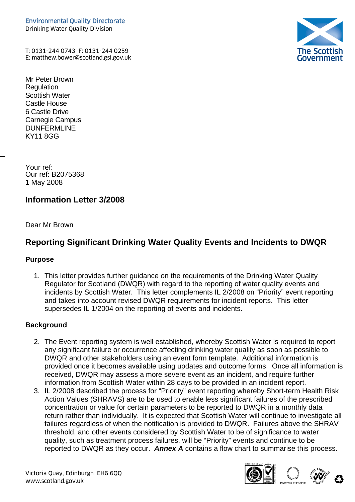The Scottisl<br>Governmen

T: 0131-244 0743 F: 0131-244 0259

Mr Peter Brown **Regulation** Scottish Water Castle House 6 Castle Drive Carnegie Campus **DUNFERMLINE** KY11 8GG

Your ref: Our ref: B2075368 1 May 2008

 $\overline{a}$ 

## **Information Letter 3/2008**

Dear Mr Brown

# **Reporting Significant Drinking Water Quality Events and Incidents to DWQR**

#### **Purpose**

1. This letter provides further guidance on the requirements of the Drinking Water Quality Regulator for Scotland (DWQR) with regard to the reporting of water quality events and incidents by Scottish Water. This letter complements IL 2/2008 on "Priority" event reporting and takes into account revised DWQR requirements for incident reports. This letter supersedes IL 1/2004 on the reporting of events and incidents.

#### **Background**

- 2. The Event reporting system is well established, whereby Scottish Water is required to report any significant failure or occurrence affecting drinking water quality as soon as possible to DWQR and other stakeholders using an event form template. Additional information is provided once it becomes available using updates and outcome forms. Once all information is received, DWQR may assess a more severe event as an incident, and require further information from Scottish Water within 28 days to be provided in an incident report.
- 3. IL 2/2008 described the process for "Priority" event reporting whereby Short-term Health Risk Action Values (SHRAVS) are to be used to enable less significant failures of the prescribed concentration or value for certain parameters to be reported to DWQR in a monthly data return rather than individually. It is expected that Scottish Water will continue to investigate all failures regardless of when the notification is provided to DWQR. Failures above the SHRAV threshold, and other events considered by Scottish Water to be of significance to water quality, such as treatment process failures, will be "Priority" events and continue to be reported to DWQR as they occur. *Annex A* contains a flow chart to summarise this process.



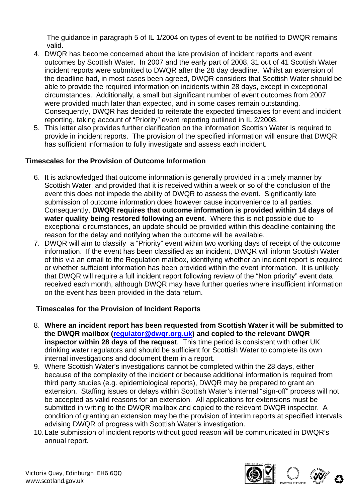The guidance in paragraph 5 of IL 1/2004 on types of event to be notified to DWQR remains valid.

- 4. DWQR has become concerned about the late provision of incident reports and event outcomes by Scottish Water. In 2007 and the early part of 2008, 31 out of 41 Scottish Water incident reports were submitted to DWQR after the 28 day deadline. Whilst an extension of the deadline had, in most cases been agreed, DWQR considers that Scottish Water should be able to provide the required information on incidents within 28 days, except in exceptional circumstances. Additionally, a small but significant number of event outcomes from 2007 were provided much later than expected, and in some cases remain outstanding. Consequently, DWQR has decided to reiterate the expected timescales for event and incident reporting, taking account of "Priority" event reporting outlined in IL 2/2008.
- 5. This letter also provides further clarification on the information Scottish Water is required to provide in incident reports. The provision of the specified information will ensure that DWQR has sufficient information to fully investigate and assess each incident.

#### **Timescales for the Provision of Outcome Information**

- 6. It is acknowledged that outcome information is generally provided in a timely manner by Scottish Water, and provided that it is received within a week or so of the conclusion of the event this does not impede the ability of DWQR to assess the event. Significantly late submission of outcome information does however cause inconvenience to all parties. Consequently, **DWQR requires that outcome information is provided within 14 days of water quality being restored following an event**. Where this is not possible due to exceptional circumstances, an update should be provided within this deadline containing the reason for the delay and notifying when the outcome will be available.
- 7. DWQR will aim to classify a "Priority" event within two working days of receipt of the outcome information. If the event has been classified as an incident, DWQR will inform Scottish Water of this via an email to the Regulation mailbox, identifying whether an incident report is required or whether sufficient information has been provided within the event information. It is unlikely that DWQR will require a full incident report following review of the "Non priority" event data received each month, although DWQR may have further queries where insufficient information on the event has been provided in the data return.

#### **Timescales for the Provision of Incident Reports**

- 8. **Where an incident report has been requested from Scottish Water it will be submitted to the DWQR mailbox [\(regulator@dwqr.org.uk](mailto:regulator@dwqr.org.uk)) and copied to the relevant DWQR inspector within 28 days of the request**. This time period is consistent with other UK drinking water regulators and should be sufficient for Scottish Water to complete its own internal investigations and document them in a report.
- 9. Where Scottish Water's investigations cannot be completed within the 28 days, either because of the complexity of the incident or because additional information is required from third party studies (e.g. epidemiological reports), DWQR may be prepared to grant an extension. Staffing issues or delays within Scottish Water's internal "sign-off" process will not be accepted as valid reasons for an extension. All applications for extensions must be submitted in writing to the DWQR mailbox and copied to the relevant DWQR inspector. A condition of granting an extension may be the provision of interim reports at specified intervals advising DWQR of progress with Scottish Water's investigation.
- 10. Late submission of incident reports without good reason will be communicated in DWQR's annual report.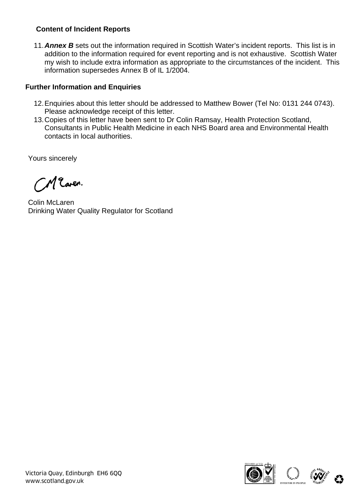### **Content of Incident Reports**

11.*Annex B* sets out the information required in Scottish Water's incident reports. This list is in addition to the information required for event reporting and is not exhaustive. Scottish Water my wish to include extra information as appropriate to the circumstances of the incident. This information supersedes Annex B of IL 1/2004.

#### **Further Information and Enquiries**

- 12. Enquiries about this letter should be addressed to Matthew Bower (Tel No: 0131 244 0743). Please acknowledge receipt of this letter.
- 13. Copies of this letter have been sent to Dr Colin Ramsay, Health Protection Scotland, Consultants in Public Health Medicine in each NHS Board area and Environmental Health contacts in local authorities.

Yours sincerely

Maren.

Colin McLaren Drinking Water Quality Regulator for Scotland

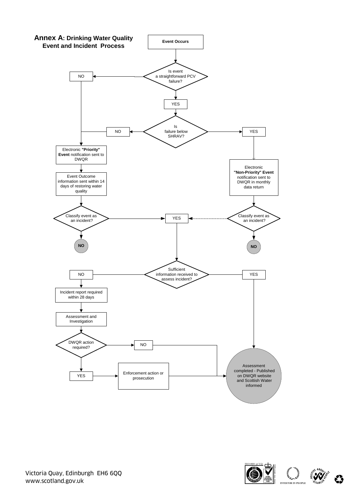

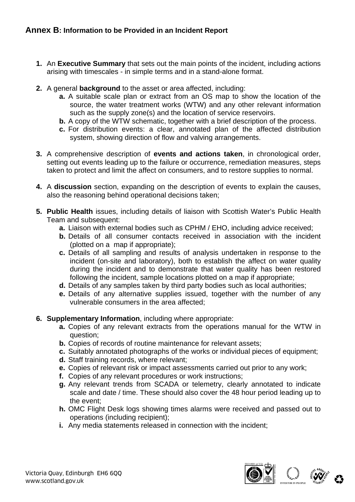- **1.** An **Executive Summary** that sets out the main points of the incident, including actions arising with timescales - in simple terms and in a stand-alone format.
- **2.** A general **background** to the asset or area affected, including:
	- **a.** A suitable scale plan or extract from an OS map to show the location of the source, the water treatment works (WTW) and any other relevant information such as the supply zone(s) and the location of service reservoirs.
	- **b.** A copy of the WTW schematic, together with a brief description of the process.
	- **c.** For distribution events: a clear, annotated plan of the affected distribution system, showing direction of flow and valving arrangements.
- **3.** A comprehensive description of **events and actions taken**, in chronological order, setting out events leading up to the failure or occurrence, remediation measures, steps taken to protect and limit the affect on consumers, and to restore supplies to normal.
- **4.** A **discussion** section, expanding on the description of events to explain the causes, also the reasoning behind operational decisions taken;
- **5. Public Health** issues, including details of liaison with Scottish Water's Public Health Team and subsequent:
	- **a.** Liaison with external bodies such as CPHM / EHO, including advice received;
	- **b.** Details of all consumer contacts received in association with the incident (plotted on a map if appropriate);
	- **c.** Details of all sampling and results of analysis undertaken in response to the incident (on-site and laboratory), both to establish the affect on water quality during the incident and to demonstrate that water quality has been restored following the incident, sample locations plotted on a map if appropriate;
	- **d.** Details of any samples taken by third party bodies such as local authorities;
	- **e.** Details of any alternative supplies issued, together with the number of any vulnerable consumers in the area affected;
- **6. Supplementary Information**, including where appropriate:
	- **a.** Copies of any relevant extracts from the operations manual for the WTW in question;
	- **b.** Copies of records of routine maintenance for relevant assets:
	- **c.** Suitably annotated photographs of the works or individual pieces of equipment;
	- **d.** Staff training records, where relevant;
	- **e.** Copies of relevant risk or impact assessments carried out prior to any work;
	- **f.** Copies of any relevant procedures or work instructions;
	- **g.** Any relevant trends from SCADA or telemetry, clearly annotated to indicate scale and date / time. These should also cover the 48 hour period leading up to the event;
	- **h.** OMC Flight Desk logs showing times alarms were received and passed out to operations (including recipient);
	- **i.** Any media statements released in connection with the incident;